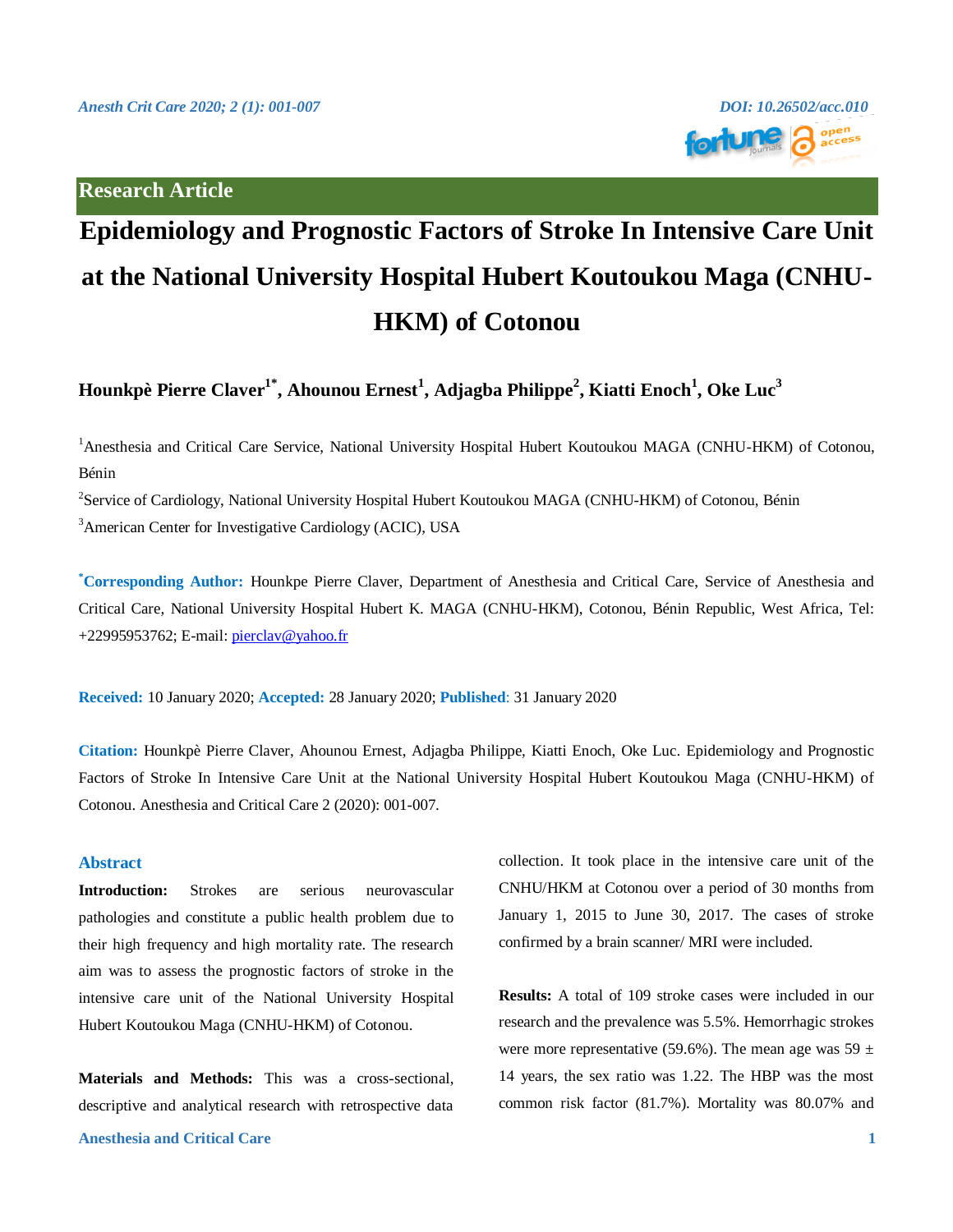## **Research Article**



# **Epidemiology and Prognostic Factors of Stroke In Intensive Care Unit at the National University Hospital Hubert Koutoukou Maga (CNHU-HKM) of Cotonou**

**Hounkpè Pierre Claver1\* , Ahounou Ernest<sup>1</sup> , Adjagba Philippe<sup>2</sup> , Kiatti Enoch<sup>1</sup> , Oke Luc<sup>3</sup>**

<sup>1</sup>Anesthesia and Critical Care Service, National University Hospital Hubert Koutoukou MAGA (CNHU-HKM) of Cotonou, Bénin

<sup>2</sup>Service of Cardiology, National University Hospital Hubert Koutoukou MAGA (CNHU-HKM) of Cotonou, Bénin <sup>3</sup>American Center for Investigative Cardiology (ACIC), USA

**\*Corresponding Author:** Hounkpe Pierre Claver, Department of Anesthesia and Critical Care, Service of Anesthesia and Critical Care, National University Hospital Hubert K. MAGA (CNHU-HKM), Cotonou, Bénin Republic, West Africa, Tel: +22995953762; E-mail: [pierclav@yahoo.fr](mailto:pierclav@yahoo.fr)

**Received:** 10 January 2020; **Accepted:** 28 January 2020; **Published**: 31 January 2020

**Citation:** Hounkpè Pierre Claver, Ahounou Ernest, Adjagba Philippe, Kiatti Enoch, Oke Luc. Epidemiology and Prognostic Factors of Stroke In Intensive Care Unit at the National University Hospital Hubert Koutoukou Maga (CNHU-HKM) of Cotonou. Anesthesia and Critical Care 2 (2020): 001-007.

### **Abstract**

**Introduction:** Strokes are serious neurovascular pathologies and constitute a public health problem due to their high frequency and high mortality rate. The research aim was to assess the prognostic factors of stroke in the intensive care unit of the National University Hospital Hubert Koutoukou Maga (CNHU-HKM) of Cotonou.

**Materials and Methods:** This was a cross-sectional, descriptive and analytical research with retrospective data

### **Anesthesia and Critical Care 1**

collection. It took place in the intensive care unit of the CNHU/HKM at Cotonou over a period of 30 months from January 1, 2015 to June 30, 2017. The cases of stroke confirmed by a brain scanner/ MRI were included.

**Results:** A total of 109 stroke cases were included in our research and the prevalence was 5.5%. Hemorrhagic strokes were more representative (59.6%). The mean age was  $59 \pm$ 14 years, the sex ratio was 1.22. The HBP was the most common risk factor (81.7%). Mortality was 80.07% and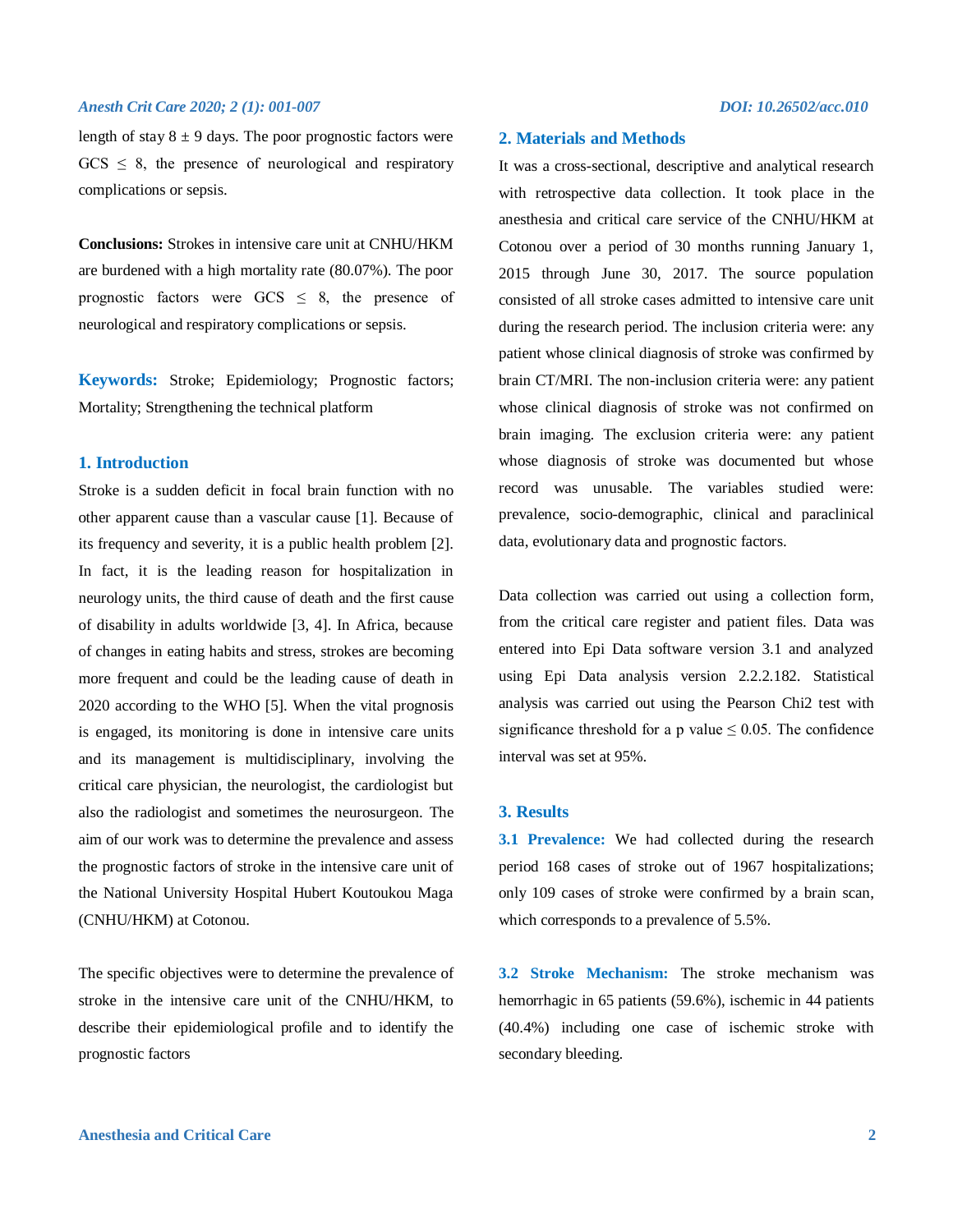length of stay  $8 \pm 9$  days. The poor prognostic factors were  $GCS \leq 8$ , the presence of neurological and respiratory complications or sepsis.

**Conclusions:** Strokes in intensive care unit at CNHU/HKM are burdened with a high mortality rate (80.07%). The poor prognostic factors were  $GCS \leq 8$ , the presence of neurological and respiratory complications or sepsis.

**Keywords:** Stroke; Epidemiology; Prognostic factors; Mortality; Strengthening the technical platform

### **1. Introduction**

Stroke is a sudden deficit in focal brain function with no other apparent cause than a vascular cause [1]. Because of its frequency and severity, it is a public health problem [2]. In fact, it is the leading reason for hospitalization in neurology units, the third cause of death and the first cause of disability in adults worldwide [3, 4]. In Africa, because of changes in eating habits and stress, strokes are becoming more frequent and could be the leading cause of death in 2020 according to the WHO [5]. When the vital prognosis is engaged, its monitoring is done in intensive care units and its management is multidisciplinary, involving the critical care physician, the neurologist, the cardiologist but also the radiologist and sometimes the neurosurgeon. The aim of our work was to determine the prevalence and assess the prognostic factors of stroke in the intensive care unit of the National University Hospital Hubert Koutoukou Maga (CNHU/HKM) at Cotonou.

The specific objectives were to determine the prevalence of stroke in the intensive care unit of the CNHU/HKM, to describe their epidemiological profile and to identify the prognostic factors

### **2. Materials and Methods**

It was a cross-sectional, descriptive and analytical research with retrospective data collection. It took place in the anesthesia and critical care service of the CNHU/HKM at Cotonou over a period of 30 months running January 1, 2015 through June 30, 2017. The source population consisted of all stroke cases admitted to intensive care unit during the research period. The inclusion criteria were: any patient whose clinical diagnosis of stroke was confirmed by brain CT/MRI. The non-inclusion criteria were: any patient whose clinical diagnosis of stroke was not confirmed on brain imaging. The exclusion criteria were: any patient whose diagnosis of stroke was documented but whose record was unusable. The variables studied were: prevalence, socio-demographic, clinical and paraclinical data, evolutionary data and prognostic factors.

Data collection was carried out using a collection form, from the critical care register and patient files. Data was entered into Epi Data software version 3.1 and analyzed using Epi Data analysis version 2.2.2.182. Statistical analysis was carried out using the Pearson Chi2 test with significance threshold for a p value  $\leq 0.05$ . The confidence interval was set at 95%.

### **3. Results**

**3.1 Prevalence:** We had collected during the research period 168 cases of stroke out of 1967 hospitalizations; only 109 cases of stroke were confirmed by a brain scan, which corresponds to a prevalence of 5.5%.

**3.2 Stroke Mechanism:** The stroke mechanism was hemorrhagic in 65 patients (59.6%), ischemic in 44 patients (40.4%) including one case of ischemic stroke with secondary bleeding.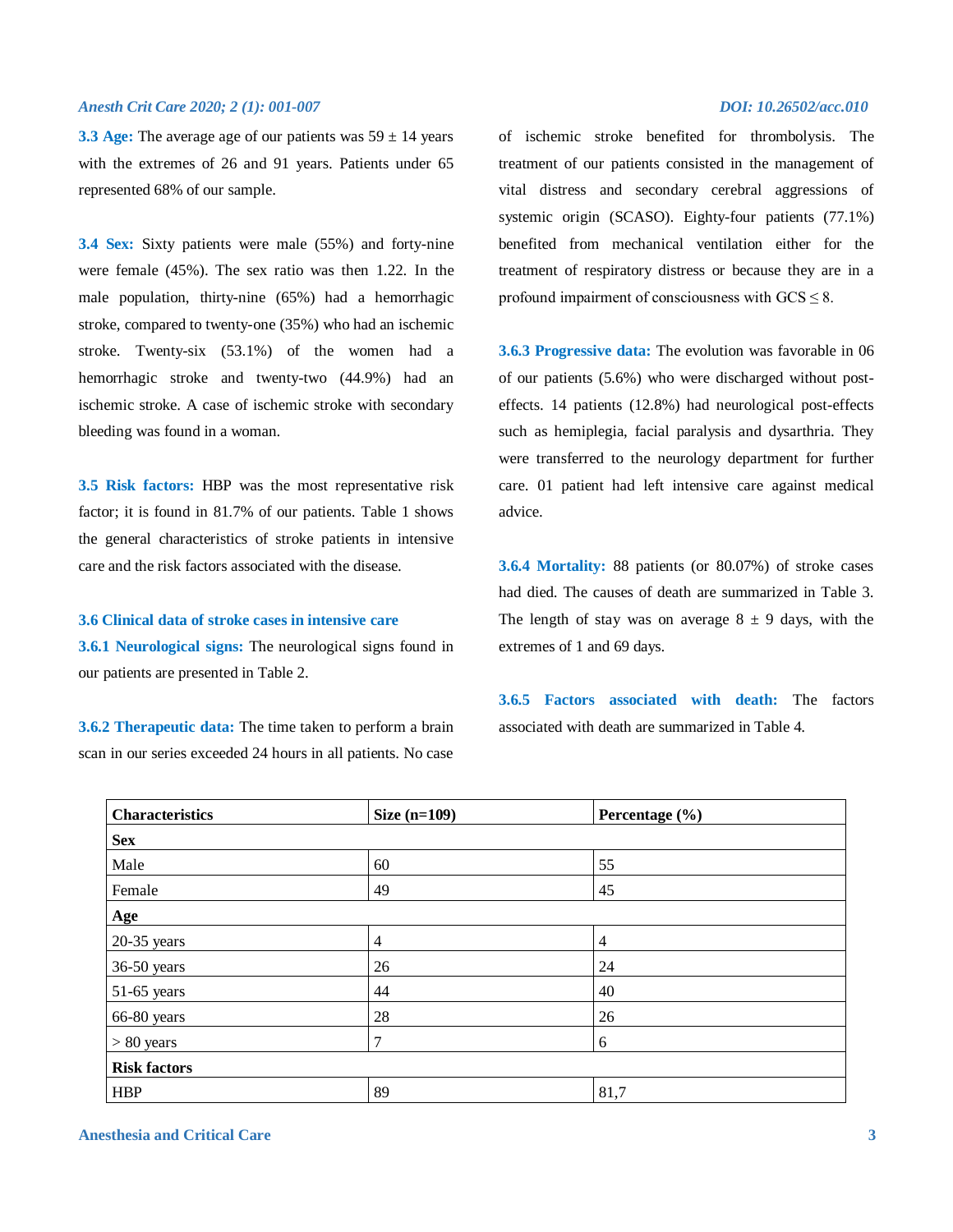**3.3 Age:** The average age of our patients was  $59 \pm 14$  years with the extremes of 26 and 91 years. Patients under 65 represented 68% of our sample.

**3.4 Sex:** Sixty patients were male (55%) and forty-nine were female (45%). The sex ratio was then 1.22. In the male population, thirty-nine (65%) had a hemorrhagic stroke, compared to twenty-one (35%) who had an ischemic stroke. Twenty-six (53.1%) of the women had a hemorrhagic stroke and twenty-two (44.9%) had an ischemic stroke. A case of ischemic stroke with secondary bleeding was found in a woman.

**3.5 Risk factors:** HBP was the most representative risk factor; it is found in 81.7% of our patients. Table 1 shows the general characteristics of stroke patients in intensive care and the risk factors associated with the disease.

### **3.6 Clinical data of stroke cases in intensive care**

**3.6.1 Neurological signs:** The neurological signs found in our patients are presented in Table 2.

**3.6.2 Therapeutic data:** The time taken to perform a brain scan in our series exceeded 24 hours in all patients. No case

of ischemic stroke benefited for thrombolysis. The treatment of our patients consisted in the management of vital distress and secondary cerebral aggressions of systemic origin (SCASO). Eighty-four patients (77.1%) benefited from mechanical ventilation either for the treatment of respiratory distress or because they are in a profound impairment of consciousness with  $GCS \leq 8$ .

**3.6.3 Progressive data:** The evolution was favorable in 06 of our patients (5.6%) who were discharged without posteffects. 14 patients (12.8%) had neurological post-effects such as hemiplegia, facial paralysis and dysarthria. They were transferred to the neurology department for further care. 01 patient had left intensive care against medical advice.

**3.6.4 Mortality:** 88 patients (or 80.07%) of stroke cases had died. The causes of death are summarized in Table 3. The length of stay was on average  $8 \pm 9$  days, with the extremes of 1 and 69 days.

**3.6.5 Factors associated with death:** The factors associated with death are summarized in Table 4.

| <b>Characteristics</b> | Size $(n=109)$ | Percentage (%) |  |
|------------------------|----------------|----------------|--|
| <b>Sex</b>             |                |                |  |
| Male                   | 60             | 55             |  |
| Female                 | 49             | 45             |  |
| Age                    |                |                |  |
| $20-35$ years          | $\overline{4}$ | $\overline{4}$ |  |
| 36-50 years            | 26             | 24             |  |
| 51-65 years            | 44             | 40             |  |
| 66-80 years            | 28             | 26             |  |
| $> 80$ years           | 7              | 6              |  |
| <b>Risk factors</b>    |                |                |  |
| <b>HBP</b>             | 89             | 81,7           |  |

**Anesthesia and Critical Care 3**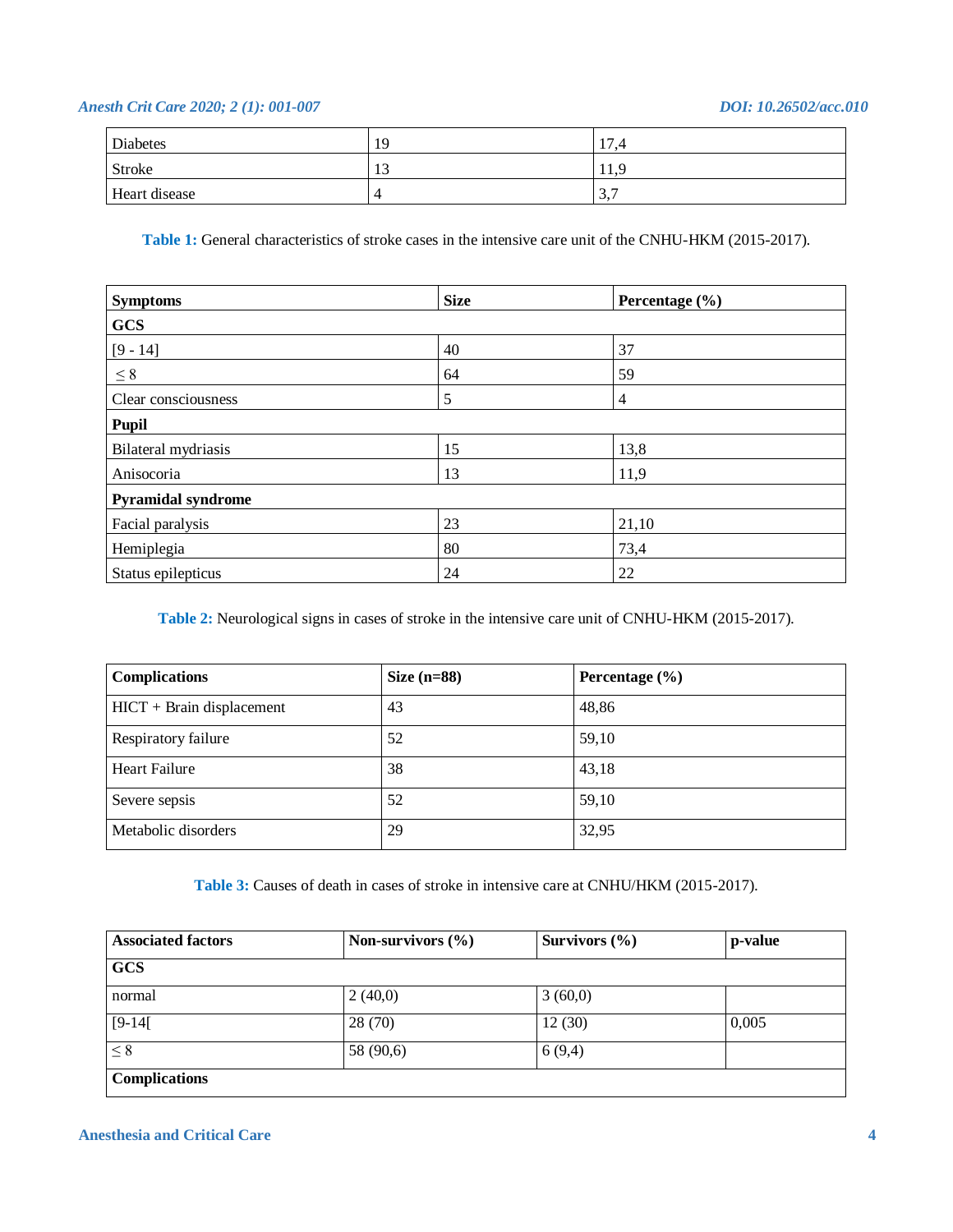| Diabetes      | 19                   | 17<br>4. ، |
|---------------|----------------------|------------|
| Stroke        | 1 <sub>2</sub><br>12 | 11.9       |
| Heart disease |                      | 3,7        |

**Table 1:** General characteristics of stroke cases in the intensive care unit of the CNHU-HKM (2015-2017).

| <b>Symptoms</b>     | <b>Size</b> | Percentage (%) |  |
|---------------------|-------------|----------------|--|
| <b>GCS</b>          |             |                |  |
| $[9 - 14]$          | 40          | 37             |  |
| $\leq 8$            | 64          | 59             |  |
| Clear consciousness | 5           | 4              |  |
| Pupil               |             |                |  |
| Bilateral mydriasis | 15          | 13,8           |  |
| Anisocoria          | 13          | 11,9           |  |
| Pyramidal syndrome  |             |                |  |
| Facial paralysis    | 23          | 21,10          |  |
| Hemiplegia          | 80          | 73,4           |  |
| Status epilepticus  | 24          | 22             |  |

**Table 2:** Neurological signs in cases of stroke in the intensive care unit of CNHU-HKM (2015-2017).

| <b>Complications</b>        | Size $(n=88)$ | Percentage $(\% )$ |
|-----------------------------|---------------|--------------------|
| $HICT + Brain displacement$ | 43            | 48,86              |
| Respiratory failure         | 52            | 59,10              |
| <b>Heart Failure</b>        | 38            | 43,18              |
| Severe sepsis               | 52            | 59,10              |
| Metabolic disorders         | 29            | 32,95              |

**Table 3:** Causes of death in cases of stroke in intensive care at CNHU/HKM (2015-2017).

| <b>Associated factors</b> | Non-survivors $(\% )$ | Survivors $(\% )$ | p-value |
|---------------------------|-----------------------|-------------------|---------|
| <b>GCS</b>                |                       |                   |         |
| normal                    | 2(40,0)               | 3(60,0)           |         |
| $[9-14]$                  | 28(70)                | 12(30)            | 0,005   |
| $\leq 8$                  | 58 (90,6)             | 6(9,4)            |         |
| <b>Complications</b>      |                       |                   |         |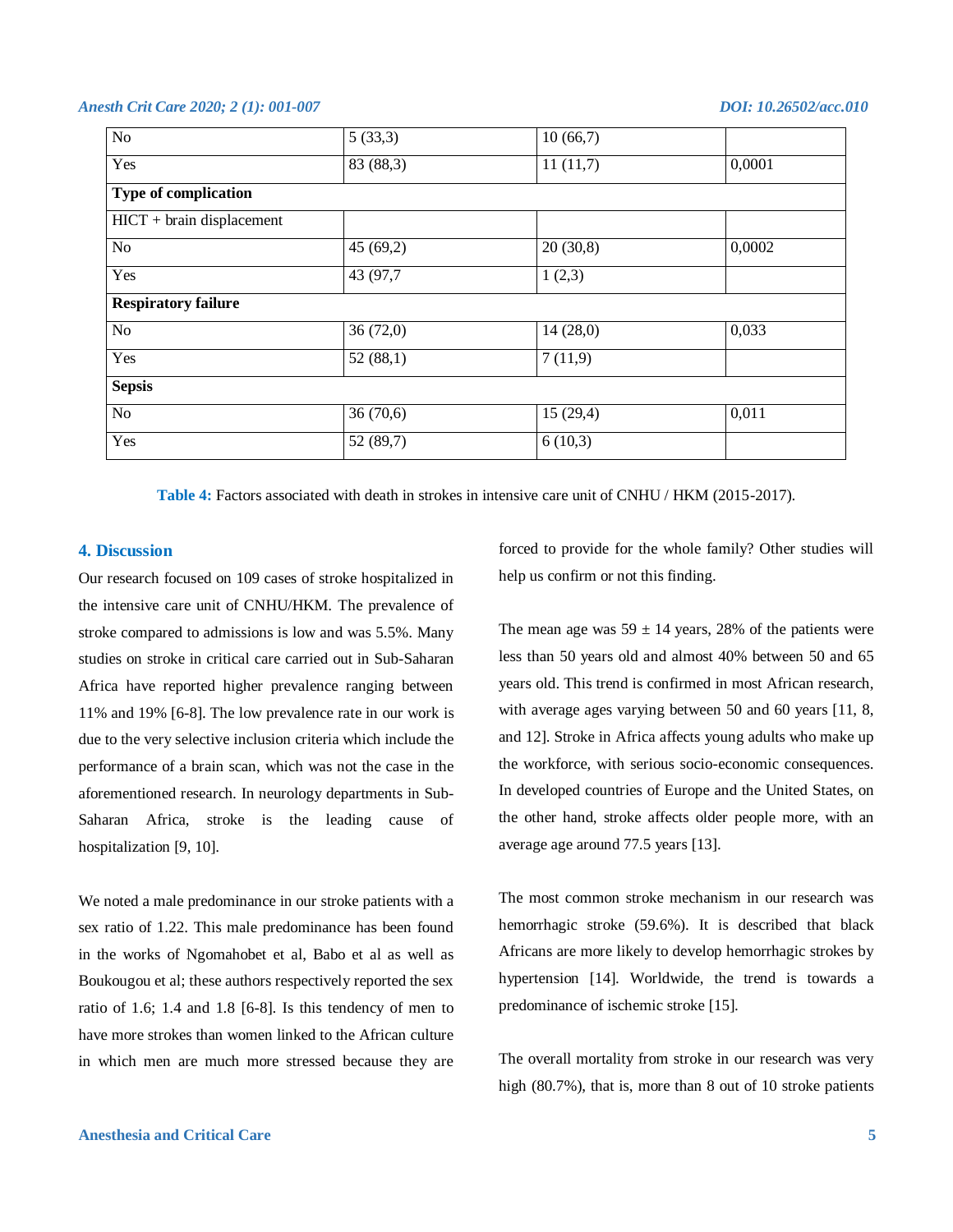| $\overline{No}$             | $\overline{5}$ (33,3) | 10(66,7) |        |
|-----------------------------|-----------------------|----------|--------|
| Yes                         | 83 (88,3)             | 11(11,7) | 0,0001 |
| Type of complication        |                       |          |        |
| $HICT + brain displacement$ |                       |          |        |
| No                          | 45(69,2)              | 20(30,8) | 0,0002 |
| Yes                         | 43 (97,7)             | 1(2,3)   |        |
| <b>Respiratory failure</b>  |                       |          |        |
| No                          | 36(72,0)              | 14(28,0) | 0,033  |
| Yes                         | 52(88,1)              | 7(11,9)  |        |
| <b>Sepsis</b>               |                       |          |        |
| N <sub>o</sub>              | 36(70,6)              | 15(29,4) | 0,011  |
| Yes                         | 52(89,7)              | 6(10,3)  |        |
|                             |                       |          |        |

**Table 4:** Factors associated with death in strokes in intensive care unit of CNHU / HKM (2015-2017).

### **4. Discussion**

Our research focused on 109 cases of stroke hospitalized in the intensive care unit of CNHU/HKM. The prevalence of stroke compared to admissions is low and was 5.5%. Many studies on stroke in critical care carried out in Sub-Saharan Africa have reported higher prevalence ranging between 11% and 19% [6-8]. The low prevalence rate in our work is due to the very selective inclusion criteria which include the performance of a brain scan, which was not the case in the aforementioned research. In neurology departments in Sub-Saharan Africa, stroke is the leading cause of hospitalization [9, 10].

We noted a male predominance in our stroke patients with a sex ratio of 1.22. This male predominance has been found in the works of Ngomahobet et al, Babo et al as well as Boukougou et al; these authors respectively reported the sex ratio of 1.6; 1.4 and 1.8 [6-8]. Is this tendency of men to have more strokes than women linked to the African culture in which men are much more stressed because they are

forced to provide for the whole family? Other studies will help us confirm or not this finding.

The mean age was  $59 \pm 14$  years, 28% of the patients were less than 50 years old and almost 40% between 50 and 65 years old. This trend is confirmed in most African research, with average ages varying between 50 and 60 years [11, 8, and 12]. Stroke in Africa affects young adults who make up the workforce, with serious socio-economic consequences. In developed countries of Europe and the United States, on the other hand, stroke affects older people more, with an average age around 77.5 years [13].

The most common stroke mechanism in our research was hemorrhagic stroke (59.6%). It is described that black Africans are more likely to develop hemorrhagic strokes by hypertension [14]. Worldwide, the trend is towards a predominance of ischemic stroke [15].

The overall mortality from stroke in our research was very high (80.7%), that is, more than 8 out of 10 stroke patients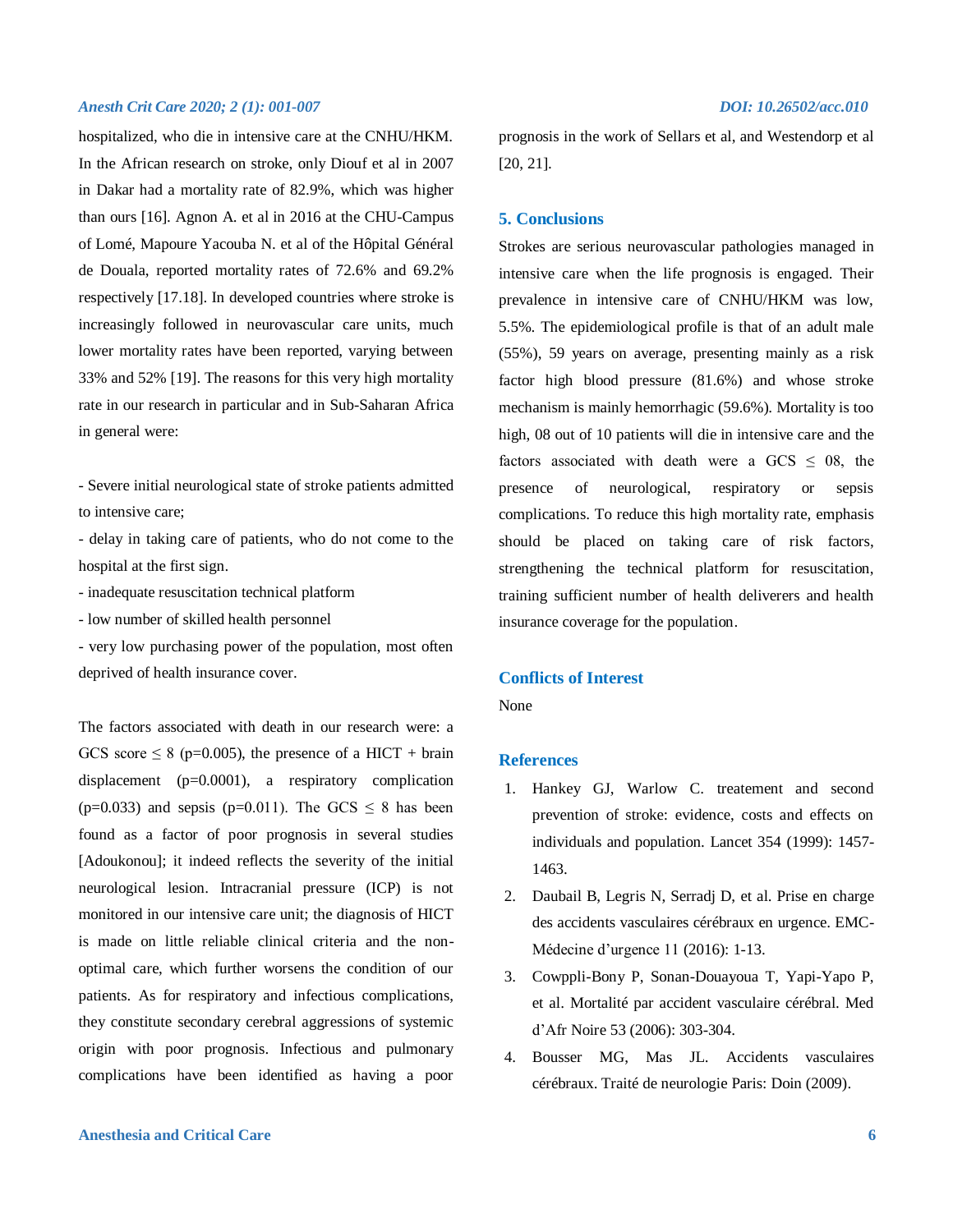hospitalized, who die in intensive care at the CNHU/HKM. In the African research on stroke, only Diouf et al in 2007 in Dakar had a mortality rate of 82.9%, which was higher than ours [16]. Agnon A. et al in 2016 at the CHU-Campus of Lomé, Mapoure Yacouba N. et al of the Hôpital Général de Douala, reported mortality rates of 72.6% and 69.2% respectively [17.18]. In developed countries where stroke is increasingly followed in neurovascular care units, much lower mortality rates have been reported, varying between 33% and 52% [19]. The reasons for this very high mortality rate in our research in particular and in Sub-Saharan Africa in general were:

- Severe initial neurological state of stroke patients admitted to intensive care;

- delay in taking care of patients, who do not come to the hospital at the first sign.

- inadequate resuscitation technical platform

- low number of skilled health personnel

- very low purchasing power of the population, most often deprived of health insurance cover.

The factors associated with death in our research were: a GCS score  $\leq 8$  (p=0.005), the presence of a HICT + brain displacement (p=0.0001), a respiratory complication (p=0.033) and sepsis (p=0.011). The GCS  $\leq$  8 has been found as a factor of poor prognosis in several studies [Adoukonou]; it indeed reflects the severity of the initial neurological lesion. Intracranial pressure (ICP) is not monitored in our intensive care unit; the diagnosis of HICT is made on little reliable clinical criteria and the nonoptimal care, which further worsens the condition of our patients. As for respiratory and infectious complications, they constitute secondary cerebral aggressions of systemic origin with poor prognosis. Infectious and pulmonary complications have been identified as having a poor

prognosis in the work of Sellars et al, and Westendorp et al [20, 21].

### **5. Conclusions**

Strokes are serious neurovascular pathologies managed in intensive care when the life prognosis is engaged. Their prevalence in intensive care of CNHU/HKM was low, 5.5%. The epidemiological profile is that of an adult male (55%), 59 years on average, presenting mainly as a risk factor high blood pressure (81.6%) and whose stroke mechanism is mainly hemorrhagic (59.6%). Mortality is too high, 08 out of 10 patients will die in intensive care and the factors associated with death were a GCS  $\leq$  08, the presence of neurological, respiratory or sepsis complications. To reduce this high mortality rate, emphasis should be placed on taking care of risk factors, strengthening the technical platform for resuscitation, training sufficient number of health deliverers and health insurance coverage for the population.

### **Conflicts of Interest**

None

### **References**

- 1. Hankey GJ, Warlow C. treatement and second prevention of stroke: evidence, costs and effects on individuals and population. Lancet 354 (1999): 1457- 1463.
- 2. Daubail B, Legris N, Serradj D, et al. Prise en charge des accidents vasculaires cérébraux en urgence. EMC-Médecine d'urgence 11 (2016): 1-13.
- 3. Cowppli-Bony P, Sonan-Douayoua T, Yapi-Yapo P, et al. Mortalité par accident vasculaire cérébral. Med d'Afr Noire 53 (2006): 303-304.
- 4. Bousser MG, Mas JL. Accidents vasculaires cérébraux. Traité de neurologie Paris: Doin (2009).